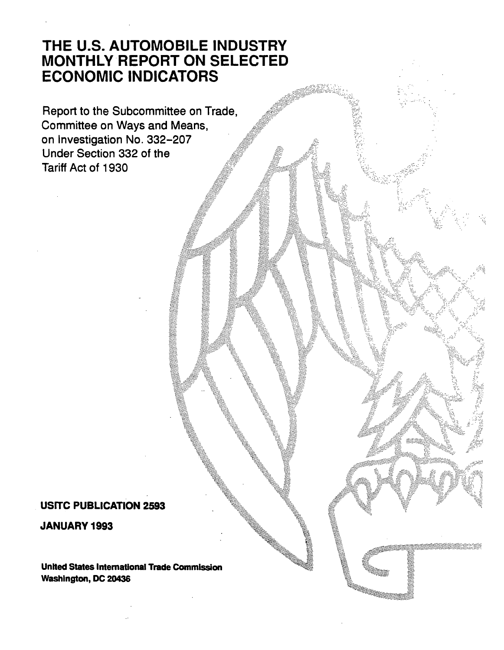# THE U.S. AUTOMOBILE INDUSTRY MONTHLY REPORT ON SELECTED ECONOMIC INDICATORS

Report to the Subcommittee on Trade, Committee on Ways and Means, on Investigation No. 332-207 Under Section 332 of the Tariff Act of 1930

# usrrc PUBLICATION 2593

# JANUARY 1993

United States International Trade Commission Washington, DC 20436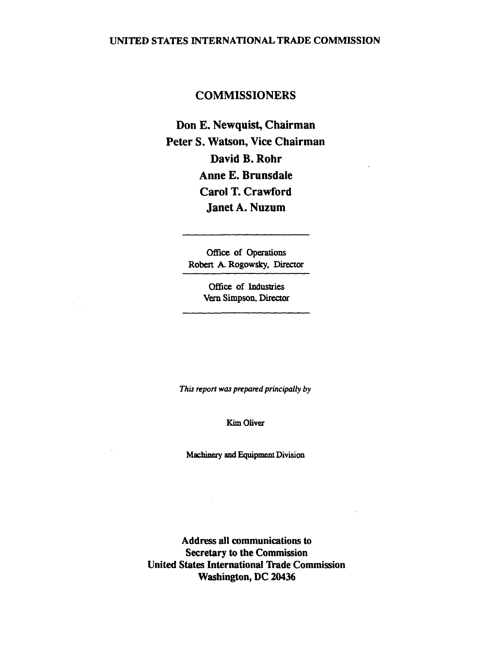## UNITED STATES INTERNATIONAL TRADE COMMISSION

# COMMISSIONERS

Don E. Newquist, Chairman Peter S. Watson, Vice Chairman David B. Rohr Anne E. Brunsdale Carol T. Crawford Janet A. Nuzum

> Office of Operations Roben A Rogowsky, Director

> > Office of Industries Vern Simpson, Director

*This report was prepared principally* by

Kim Oliver

Machinery and Equipment Division

 $\sim 10^{-1}$ 

Address all communications to Secretary to the Commission United States International Trade Commission Washington, DC 20436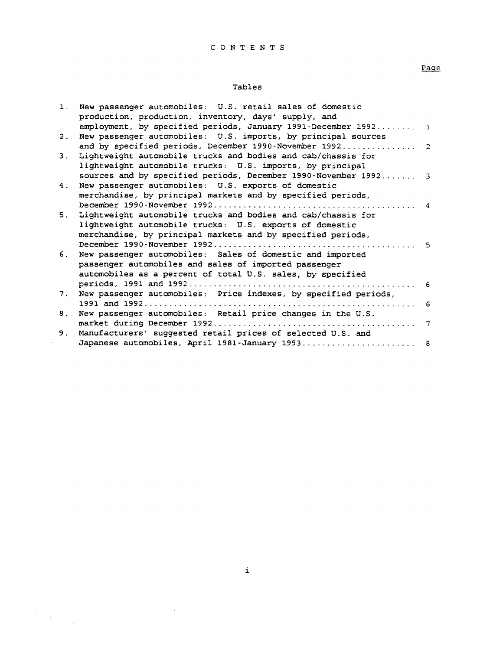### C 0 N T E N T S

Page

### Tables

| $\mathbf{1}$ . | New passenger automobiles: U.S. retail sales of domestic        |    |
|----------------|-----------------------------------------------------------------|----|
|                | production, production, inventory, days' supply, and            |    |
|                | employment, by specified periods, January 1991-December 1992 1  |    |
| 2 <sup>1</sup> | New passenger automobiles: U.S. imports, by principal sources   |    |
|                | and by specified periods, December 1990-November 1992 2         |    |
| 3.             | Lightweight automobile trucks and bodies and cab/chassis for    |    |
|                | lightweight automobile trucks: U.S. imports, by principal       |    |
|                | sources and by specified periods, December 1990-November 1992 3 |    |
| 4.             | New passenger automobiles: U.S. exports of domestic             |    |
|                | merchandise, by principal markets and by specified periods,     |    |
|                |                                                                 | 4  |
| 5.             | Lightweight automobile trucks and bodies and cab/chassis for    |    |
|                | lightweight automobile trucks: U.S. exports of domestic         |    |
|                | merchandise, by principal markets and by specified periods,     |    |
|                |                                                                 | 5  |
| 6.             | New passenger automobiles: Sales of domestic and imported       |    |
|                | passenger automobiles and sales of imported passenger           |    |
|                |                                                                 |    |
|                | automobiles as a percent of total U.S. sales, by specified      |    |
|                |                                                                 | -6 |
| $7_{\odot}$    | New passenger automobiles: Price indexes, by specified periods, |    |
|                |                                                                 | -6 |
| 8.             | New passenger automobiles: Retail price changes in the U.S.     |    |
|                |                                                                 | 7  |
| 9.             | Manufacturers' suggested retail prices of selected U.S. and     |    |
|                | Japanese automobiles, April 1981-January 1993 8                 |    |

 $\mathcal{L}^{\text{max}}_{\text{max}}$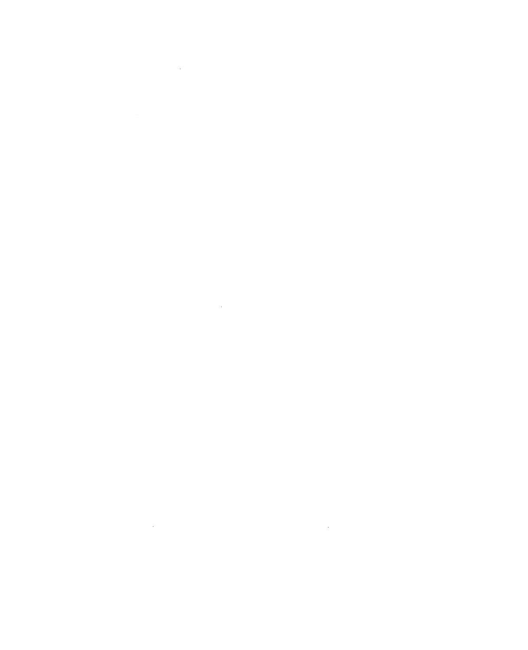$\label{eq:2.1} \frac{1}{\sqrt{2}}\left(\frac{1}{\sqrt{2}}\right)^{2} \left(\frac{1}{\sqrt{2}}\right)^{2} \left(\frac{1}{\sqrt{2}}\right)^{2} \left(\frac{1}{\sqrt{2}}\right)^{2} \left(\frac{1}{\sqrt{2}}\right)^{2} \left(\frac{1}{\sqrt{2}}\right)^{2} \left(\frac{1}{\sqrt{2}}\right)^{2} \left(\frac{1}{\sqrt{2}}\right)^{2} \left(\frac{1}{\sqrt{2}}\right)^{2} \left(\frac{1}{\sqrt{2}}\right)^{2} \left(\frac{1}{\sqrt{2}}\right)^{2} \left(\$ 

 $\label{eq:2.1} \frac{1}{\sqrt{2}}\int_{\mathbb{R}^3}\frac{1}{\sqrt{2}}\left(\frac{1}{\sqrt{2}}\right)^2\frac{1}{\sqrt{2}}\left(\frac{1}{\sqrt{2}}\right)^2\frac{1}{\sqrt{2}}\left(\frac{1}{\sqrt{2}}\right)^2\frac{1}{\sqrt{2}}\left(\frac{1}{\sqrt{2}}\right)^2\frac{1}{\sqrt{2}}\left(\frac{1}{\sqrt{2}}\right)^2\frac{1}{\sqrt{2}}\frac{1}{\sqrt{2}}\frac{1}{\sqrt{2}}\frac{1}{\sqrt{2}}\frac{1}{\sqrt{2}}\frac{1}{\sqrt{2}}$ 

 $\label{eq:2.1} \frac{1}{\sqrt{2}}\left(\frac{1}{\sqrt{2}}\right)^{2} \left(\frac{1}{\sqrt{2}}\right)^{2} \left(\frac{1}{\sqrt{2}}\right)^{2} \left(\frac{1}{\sqrt{2}}\right)^{2} \left(\frac{1}{\sqrt{2}}\right)^{2} \left(\frac{1}{\sqrt{2}}\right)^{2} \left(\frac{1}{\sqrt{2}}\right)^{2} \left(\frac{1}{\sqrt{2}}\right)^{2} \left(\frac{1}{\sqrt{2}}\right)^{2} \left(\frac{1}{\sqrt{2}}\right)^{2} \left(\frac{1}{\sqrt{2}}\right)^{2} \left(\$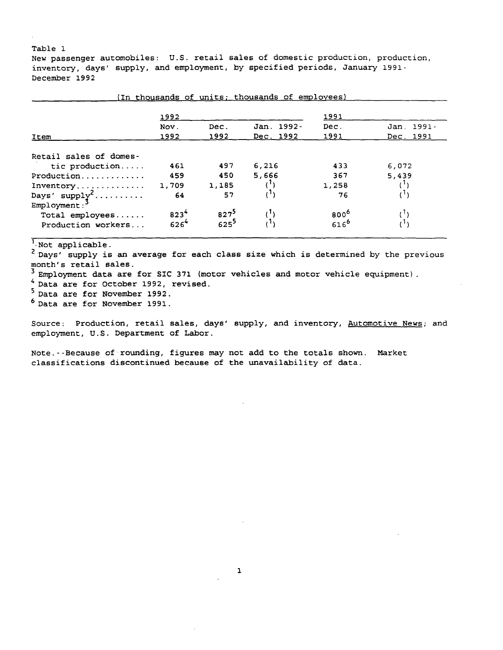#### Table l

New passenger automobiles: U.S. retail sales of domestic production, production, inventory, days' supply, and employment, by specified periods, January 1991- December 1992

|                                | 1992                  |           | 1991       |                  |            |
|--------------------------------|-----------------------|-----------|------------|------------------|------------|
|                                | Nov.                  | Dec.      | Jan. 1992- | Dec.             | Jan. 1991- |
| Item                           | 1992                  | 1992      | Dec. 1992  | <u> 1991 </u>    | Dec. 1991  |
| Retail sales of domes-         |                       |           |            |                  |            |
| tic production                 | 461                   | 497       | 6,216      | 433              | 6,072      |
| Production                     | 459                   | 450       | 5,666      | 367              | 5,439      |
| Inventory                      | 1,709                 | 1,185     | 71         | 1,258            |            |
| Days' ${\rm supp1y}^2$         | 64                    | 57        |            | 76               |            |
| Employment:<br>Total employees | $\frac{823^4}{626^4}$ | $827^{5}$ |            | 800 <sup>6</sup> |            |
| Production workers             |                       | $625^{5}$ |            | $616^{6}$        |            |

(In thousands of units; thousands of employees)

<sup>1</sup> Not applicable.<br><sup>2</sup> Days' supply is an average for each class size which is determined by the previous month's retail sales.

 $3$  Employment data are for SIC 371 (motor vehicles and motor vehicle equipment).<br>
<sup>4</sup> Data are for October 1992, revised.

5 Data are for November 1992.

6 Data are for November 1991.

Source: Production, retail sales, days' supply, and inventory, Automotive News; and employment, U.S. Department of Labor.

Note.--Because of rounding, figures may not add to the totals shown. Market classifications discontinued because of the unavailability of data.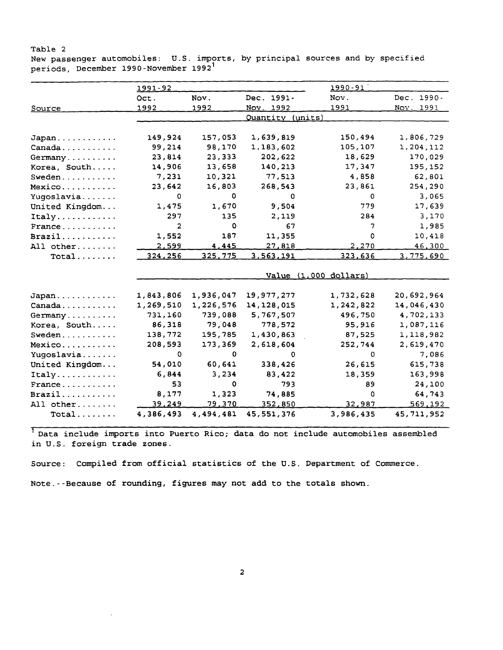New passenger automobiles: U.S. imports, by principal sources and by specified periods, December 1990-November 1992<sup>1</sup>

|                                           | 1991-92        |             |                  | 1990-91                      |              |
|-------------------------------------------|----------------|-------------|------------------|------------------------------|--------------|
|                                           | Oct.           | Nov.        | Dec. 1991-       | Nov.                         | Dec. 1990-   |
| Source                                    | <u> 1992 </u>  | 1992        | Nov. 1992        | 1991                         | Nov. 1991    |
|                                           |                |             | Quantity (units) |                              |              |
| Japan                                     | 149,924        | 157,053     | 1,639,819        | 150,494                      | 1,806,729    |
| Canada.                                   | 99,214         | 98,170      | 1,183,602        | 105,107                      | 1,204,112    |
| Germany                                   | 23,814         | 23,333      | 202,622          | 18,629                       | 170,029      |
| Korea, South                              | 14,906         | 13,658      | 140,213          | 17,347                       | 195, 152     |
| $S$ weden                                 | 7,231          | 10,321      | 77,513           | 4,858                        | 62,801       |
| Mexico                                    | 23,642         | 16,803      | 268,543          | 23,861                       | 254,290      |
| Yugoslavia                                | $\mathbf 0$    | $\Omega$    | 0                | 0                            | 3,065        |
| United Kingdom                            | 1,475          | 1,670       | 9,504            | 779                          | 17,639       |
| Italy                                     | 297            | 135         | 2,119            | 284                          | 3,170        |
| $France \dots \dots \dots$                | $\overline{2}$ | $\mathbf 0$ | 67               | 7                            | 1,985        |
| $\texttt{Brazil} \dots \dots \dots \dots$ | 1,552          | 187         | 11,355           | 0                            | 10,418       |
| All other                                 | 2,599          | 4,445       | 27,818           | 2,270                        | 46,300       |
| $Total$                                   | 324,256        | 325,775     | 3,563,191        | 323,636                      | 3, 775, 690  |
|                                           |                |             |                  | <u>Value (1,000 dollars)</u> |              |
|                                           |                |             |                  |                              |              |
| Japan                                     | 1,843,806      | 1,936,047   | 19,977,277       | 1,732,628                    | 20,692,964   |
| Canada.                                   | 1,269,510      | 1,226,576   | 14, 128, 015     | 1,242,822                    | 14,046,430   |
| Germany                                   | 731,160        | 739,088     | 5,767,507        | 496,750                      | 4,702,133    |
| Korea, South                              | 86,318         | 79,048      | 778,572          | 95,916                       | 1,087,116    |
| Sweden                                    | 138,772        | 195,785     | 1,430,863        | 87,525                       | 1,118,982    |
| Mexico                                    | 208,593        | 173,369     | 2,618,604        | 252,744                      | 2,619,470    |
| Yugoslavia                                | $\mathbf 0$    | 0           | 0                | $\mathbf 0$                  | 7,086        |
| United Kingdom                            | 54,010         | 60,641      | 338,426          | 26,615                       | 615,738      |
| $Itally$                                  | 6,844          | 3,234       | 83,422           | 18,359                       | 163,998      |
| $France$                                  | 53             | $\mathbf 0$ | 793              | 89                           | 24,100       |
| $\texttt{Brazil} \dots \dots \dots$       | 8,177          | 1,323       | 74,885           | 0                            | 64,743       |
| All other                                 | 39,249         | 79,370      | <u>352,850</u>   | 32,987                       | 569,192      |
| $Total$                                   | 4,386,493      | 4,494,481   | 45,551,376       | 3,986,435                    | 45, 711, 952 |

Data include imports into Puerto Rico; data do not include automobiles assembled in U.S. foreign trade zones.

Source: Compiled from official statistics of the U.S. Department of Commerce.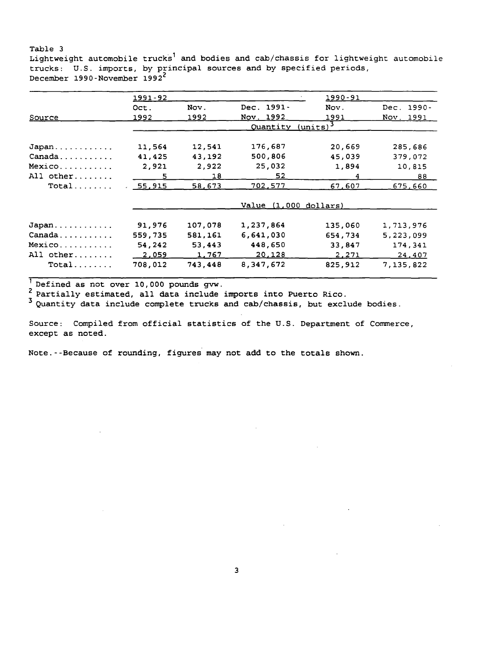### Table 3 Lightweight automobile  $trucks<sup>1</sup>$  and bodies and cab/chassis for lightweight automobile trucks: U.S. imports, by principal sources and by specified periods, December 1990-November 1992<sup>2</sup>

|           | 1991-92               |         |                  | 1990-91 |                |  |  |  |
|-----------|-----------------------|---------|------------------|---------|----------------|--|--|--|
|           | Oct.                  | Nov.    | Dec. 1991-       | Nov.    | Dec. 1990-     |  |  |  |
| Source    | 1992                  | 1992    | Nov. 1992        | 1991    | Nov. 1991      |  |  |  |
|           |                       |         | Quantity (units) |         |                |  |  |  |
| Japan     | 11,564                | 12,541  | 176,687          | 20,669  | 285,686        |  |  |  |
| Canada    | 41,425                | 43,192  | 500,806          | 45,039  | 379,072        |  |  |  |
| Mexico    | 2,921                 | 2,922   | 25,032           | 1,894   | 10,815         |  |  |  |
| All other | 5                     | 18      | 52               | 4       | 88             |  |  |  |
| $Total$   | 55,915                | 58,673  | 702,577          | 67,607  | <u>675,660</u> |  |  |  |
|           | Value (1,000 dollars) |         |                  |         |                |  |  |  |
| Japan     | 91,976                | 107,078 | 1,237,864        | 135,060 | 1,713,976      |  |  |  |
| Canada.   | 559,735               | 581,161 | 6,641,030        | 654,734 | 5,223,099      |  |  |  |
| Mexico    | 54,242                | 53,443  | 448,650          | 33,847  | 174,341        |  |  |  |
| All other | 2,059                 | 1,767   | 20,128           | 2,271   | 24,407         |  |  |  |
| $Total$   | 708,012               | 743.448 | 8,347,672        | 825,912 | 7,135,822      |  |  |  |

1 Defined as not over 10,000 pounds gvw.<br>2 Partially estimated, all data include imports into Puerto Rico.

3 Quantity data include complete trucks and cab/chassis, but exclude bodies.

Source: Compiled from official statistics of the U.S. Department of Commerce, except as noted.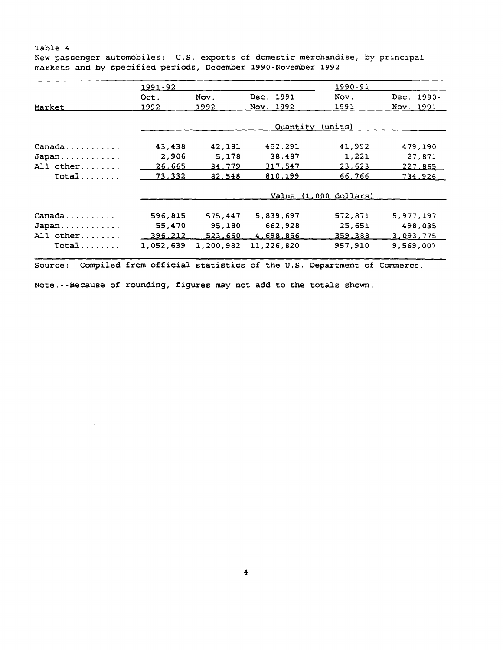$\sim 10^7$ 

 $\ddot{\phantom{a}}$ 

New passenger automobiles: U.S. exports of domestic merchandise, by principal markets and by specified periods, December 1990-November 1992

|           | 1991-92               |           |                  | 1990-91 |            |  |  |  |
|-----------|-----------------------|-----------|------------------|---------|------------|--|--|--|
|           | Oct.                  | Nov.      | Dec. 1991-       | Nov.    | Dec. 1990- |  |  |  |
| Market    | 1992                  | 1992      | Nov. 1992        | 1991    | Nov. 1991  |  |  |  |
|           |                       |           | Ouantity (units) |         |            |  |  |  |
| Canada.   | 43,438                | 42,181    | 452,291          | 41,992  | 479,190    |  |  |  |
| Japan     | 2,906                 | 5,178     | 38,487           | 1,221   | 27,871     |  |  |  |
| All other | <u> 26,665</u>        | 34,779    | 317,547          | 23,623  | 227,865    |  |  |  |
| $Total$   | <u>73,332</u>         | 82,548    | 810,199          | 66,766  | 734,926    |  |  |  |
|           | Value (1,000 dollars) |           |                  |         |            |  |  |  |
| Canada.   | 596,815               | 575,447   | 5,839,697        | 572,871 | 5,977,197  |  |  |  |
| Japan     | 55,470                | 95,180    | 662,928          | 25,651  | 498,035    |  |  |  |
| All other | 396,212               | 523,660   | 4,698,856        | 359,388 | 3,093,775  |  |  |  |
| $Total$   | 1,052,639             | 1,200,982 | 11,226,820       | 957,910 | 9,569,007  |  |  |  |

Source: Compiled from official statistics of the U.S. Department of Commerce.

 $\sim$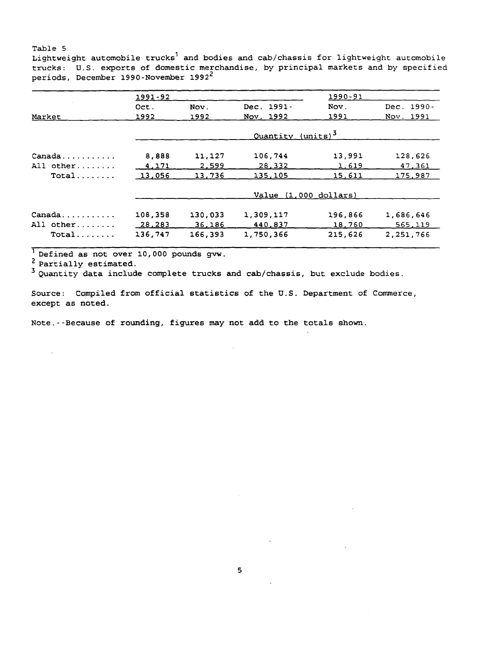Lightweight automobile  $trucks<sup>1</sup>$  and bodies and  $cab/chassis$  for lightweight automobile trucks: U.S. exports of domestic merchandise, by principal markets and by specified periods, December 1990-November 1992<sup>2</sup>

|           | 1991-92 |         |                       | 1990-91 |            |
|-----------|---------|---------|-----------------------|---------|------------|
|           | Oct.    | Nov.    | Dec. 1991-            | Nov.    | Dec. 1990- |
| Market    | 1992    | 1992    | Nov. 1992             | 1991    | Nov. 1991  |
|           |         |         | Quantity $(units)^3$  |         |            |
| Canada.   | 8,888   | 11,127  | 106,744               | 13,991  | 128,626    |
| All other | 4.171   | 2,599   | 28,332                | 1,619   | 47, 361    |
| Total     | 13,056  | 13,736  | 135,105               | 15,611  | 175,987    |
|           |         |         | Value (1,000 dollars) |         |            |
| Canada.   | 108,358 | 130,033 | 1,309,117             | 196,866 | 1,686,646  |
| All other | 28,283  | 36,186  | 440,837               | 18,760  | 565,119    |
| $Total$   | 136,747 | 166.393 | 1,750,366             | 215,626 | 2,251,766  |

Defined as not over 10,000 pounds gvw.

 $\sim$ 

3 Quantity data include complete trucks and cab/chassis, but exclude bodies.

Source: Compiled from official statistics of the U.S. Department of Commerce, except as noted.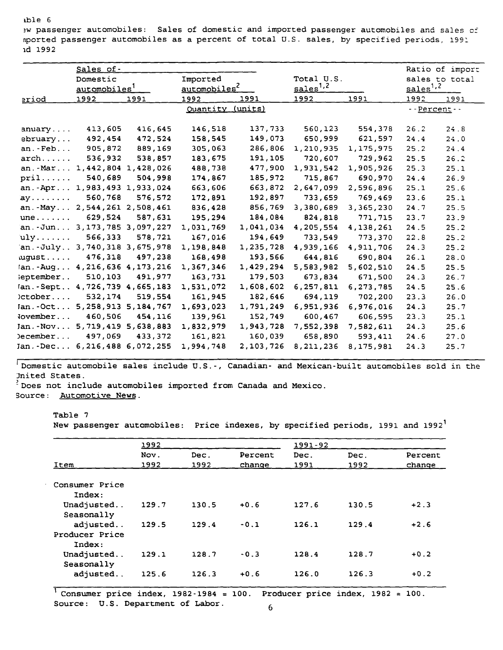#### ible 6

aw passenger automobiles: Sales of domestic and imported passenger automobiles and sales of mported passenger automobiles as a percent of total U.S. sales, by specified periods, 1991 id 1992

|                                        | Sales of -               |         |                          |           |                      |             |                      | Ratio of import |
|----------------------------------------|--------------------------|---------|--------------------------|-----------|----------------------|-------------|----------------------|-----------------|
|                                        | Domestic                 |         | Imported                 |           | Total U.S.           |             |                      | sales to total  |
|                                        | automobiles <sup>1</sup> |         | automobiles <sup>2</sup> |           | sales <sup>1,2</sup> |             | sales <sup>1,2</sup> |                 |
| <u>eriod</u>                           | 1992                     | 1991    | 1992                     | 1991      | 1992                 | 1991        | 1992                 | 1991            |
|                                        |                          |         | Quantity                 | (units)   |                      |             | --Percent--          |                 |
|                                        |                          |         |                          |           |                      |             |                      |                 |
| anuary                                 | 413,605                  | 416,645 | 146,518                  | 137,733   | 560,123              | 554,378     | 26.2                 | 24.8            |
| ebruary                                | 492,454                  | 472,524 | 158,545                  | 149,073   | 650,999              | 621,597     | 24.4                 | 24.0            |
| $an.-Feb$                              | 905,872                  | 889,169 | 305,063                  | 286,806   | 1,210,935            | 1,175,975   | 25.2                 | 24.4            |
| arch                                   | 536,932                  | 538,857 | 183,675                  | 191,105   | 720,607              | 729,962     | 25.5                 | 26.2            |
| an. - Mar 1, 442, 804 1, 428, 026      |                          |         | 488,738                  | 477,900   | 1,931,542            | 1,905,926   | 25.3                 | 25.1            |
| pri1                                   | 540,689                  | 504,998 | 174,867                  | 185,972   | 715,867              | 690,970     | 24.4                 | 26.9            |
| an.-Apr 1,983,493 1,933,024            |                          |         | 663,606                  | 663,872   | 2,647,099            | 2,596,896   | 25.1                 | 25.6            |
| $ay \ldots \ldots$                     | 560,768                  | 576,572 | 172,891                  | 192,897   | 733,659              | 769,469     | 23.6                 | 25.1            |
| an. - May 2, 544, 261 2, 508, 461      |                          |         | 836,428                  | 856,769   | 3,380,689            | 3, 365, 230 | 24.7                 | 25.5            |
| $une \ldots$                           | 629,524                  | 587,631 | 195,294                  | 184,084   | 824,818              | 771,715     | 23.7                 | 23.9            |
| an. -Jun $3,173,785$ 3,097,227         |                          |         | 1,031,769                | 1,041,034 | 4,205,554            | 4,138,261   | 24.5                 | 25.2            |
| $\mathbf{u}$ ly                        | 566,333                  | 578,721 | 167,016                  | 194,649   | 733,549              | 773,370     | 22.8                 | 25.2            |
| an. - July 3, 740, 318 3, 675, 978     |                          |         | 1,198,848                | 1,235,728 | 4,939,166            | 4,911,706   | 24.3                 | 25.2            |
| wgust                                  | 476,318                  | 497,238 | 168,498                  | 193,566   | 644,816              | 690,804     | 26.1                 | 28.0            |
| $tan. - Aug. 4, 216, 636, 4, 173, 216$ |                          |         | 1,367,346                | 1,429,294 | 5,583,982            | 5,602,510   | 24.5                 | 25.5            |
| eptember                               | 510,103                  | 491,977 | 163,731                  | 179,503   | 673,834              | 671,500     | 24.3                 | 26.7            |
| (an.-Sept 4,726,739 4,665,183          |                          |         | 1,531,072                | 1,608,602 | 6,257,811            | 6,273,785   | 24.5                 | 25.6            |
| )ctober                                | 532,174                  | 519,554 | 161,945                  | 182,646   | 694,119              | 702,200     | 23.3                 | 26.0            |
| Jan.-Oct 5,258,913 5,184,767           |                          |         | 1,693,023                | 1,791,249 | 6,951,936            | 6,976,016   | 24.3                 | 25.7            |
| November                               | 460,506                  | 454,116 | 139,961                  | 152,749   | 600,467              | 606,595     | 23.3                 | 25.1            |
| Jan.-Nov 5,719,419 5,638,883           |                          |         | 1,832,979                | 1,943,728 | 7,552,398            | 7,582,611   | 24.3                 | 25.6            |
| )ecember                               | 497,069                  | 433,372 | 161,821                  | 160,039   | 658,890              | 593,411     | 24.6                 | 27.0            |
| Jan. - Dec 6, 216, 488 6, 072, 255     |                          |         | 1,994,748                | 2,103,726 | 8,211,236            | 8,175,981   | 24.3                 | 25.7            |

Domestic automobile sales include U.S.-, Canadian- and Mexican-built automobiles sold in the Jnited States.

 $2$  Does not include automobiles imported from Canada and Mexico.

Source: Automotive News.

#### Table 7

New passenger automobiles: Price indexes, by specified periods, 1991 and 1992<sup>1</sup>

|                                      | <u> 1992 </u> |       |         | 1991-92 |       |         |
|--------------------------------------|---------------|-------|---------|---------|-------|---------|
|                                      | Nov.          | Dec.  | Percent | Dec.    | Dec.  | Percent |
| Item                                 | 1992          | 1992  | change  | 1991    | 1992  | change  |
| Consumer Price<br>Index:             |               |       |         |         |       |         |
| Unadjusted<br>Seasonally             | 129.7         | 130.5 | $+0.6$  | 127.6   | 130.5 | $+2.3$  |
| adjusted<br>Producer Price<br>Index: | 129.5         | 129.4 | $-0.1$  | 126.1   | 129.4 | $+2.6$  |
| Unadjusted<br>Seasonally             | 129.1         | 128.7 | $-0.3$  | 128.4   | 128.7 | $+0.2$  |
| adjusted                             | 125.6         | 126.3 | $+0.6$  | 126.0   | 126.3 | $+0.2$  |

<sup>1</sup> Consumer price index, 1982-1984 = 100. Producer price index, 1982 = 100. Source: U.S. Department of Labor.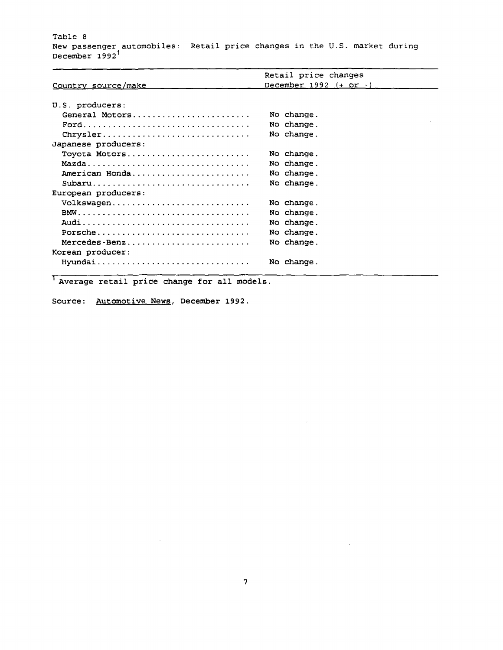New passenger automobiles: Retail price changes in the U.S. market during December  $1992<sup>1</sup>$ 

|                                                                                     | Retail price changes   |
|-------------------------------------------------------------------------------------|------------------------|
| Country source/make                                                                 | December 1992 (+ or -) |
|                                                                                     |                        |
| U.S. producers:                                                                     |                        |
| General Motors                                                                      | No change.             |
|                                                                                     | No change.             |
| Chrysler                                                                            | No change.             |
| Japanese producers:                                                                 |                        |
| Toyota Motors                                                                       | No change.             |
| Mazda                                                                               | No change.             |
| American Honda                                                                      | No change.             |
| $\texttt{Subaru} \dots \dots \dots \dots \dots \dots \dots \dots \dots \dots \dots$ | No change.             |
| European producers:                                                                 |                        |
| Volkswagen                                                                          | No change.             |
|                                                                                     | No change.             |
|                                                                                     | No change.             |
| Porsche                                                                             | No change.             |
| Mercedes-Benz                                                                       | No change.             |
| Korean producer:                                                                    |                        |
| Hyundai                                                                             | No change.             |

Average retail price change for all models.

 $\mathcal{L}$ 

Source: Automotive News, December 1992.

 $\sim$ 

 $\alpha$